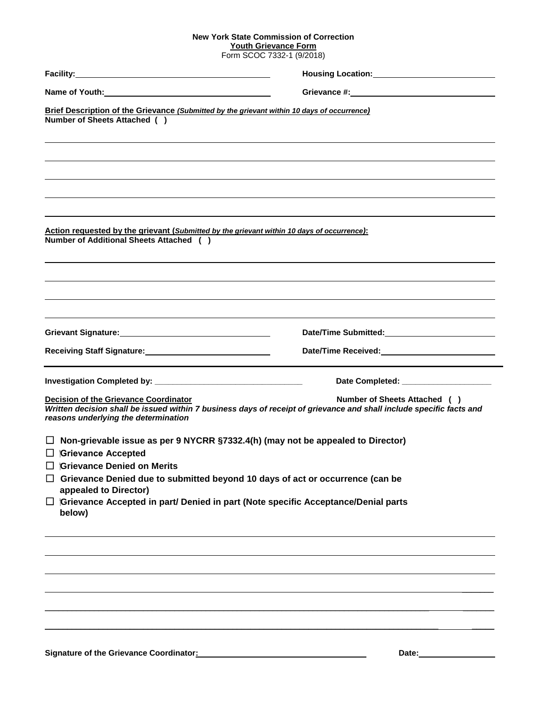## **New York State Commission of Correction**

**Youth Grievance Form** Form SCOC 7332-1 (9/2018)

| Brief Description of the Grievance (Submitted by the grievant within 10 days of occurrence)<br>Number of Sheets Attached ()                                                                              |                                                                                                                                                       |  |  |
|----------------------------------------------------------------------------------------------------------------------------------------------------------------------------------------------------------|-------------------------------------------------------------------------------------------------------------------------------------------------------|--|--|
| Action requested by the grievant (Submitted by the grievant within 10 days of occurrence):<br>Number of Additional Sheets Attached ( )                                                                   |                                                                                                                                                       |  |  |
| Grievant Signature: Management Signature: Management Signature:                                                                                                                                          |                                                                                                                                                       |  |  |
| Receiving Staff Signature:<br><u> </u>                                                                                                                                                                   | Date/Time Received:_____________________________                                                                                                      |  |  |
|                                                                                                                                                                                                          | Date Completed: ________________________                                                                                                              |  |  |
| <b>Decision of the Grievance Coordinator</b><br>reasons underlying the determination                                                                                                                     | Number of Sheets Attached ( )<br>Written decision shall be issued within 7 business days of receipt of grievance and shall include specific facts and |  |  |
| Non-grievable issue as per 9 NYCRR §7332.4(h) (may not be appealed to Director)<br>$\Box$ Grievance Accepted                                                                                             |                                                                                                                                                       |  |  |
| Grievance Denied on Merits                                                                                                                                                                               |                                                                                                                                                       |  |  |
| Grievance Denied due to submitted beyond 10 days of act or occurrence (can be<br>appealed to Director)<br>□ iGrievance Accepted in part/ Denied in part (Note specific Acceptance/Denial parts<br>below) |                                                                                                                                                       |  |  |
|                                                                                                                                                                                                          |                                                                                                                                                       |  |  |
|                                                                                                                                                                                                          |                                                                                                                                                       |  |  |
|                                                                                                                                                                                                          |                                                                                                                                                       |  |  |
|                                                                                                                                                                                                          |                                                                                                                                                       |  |  |
|                                                                                                                                                                                                          |                                                                                                                                                       |  |  |
|                                                                                                                                                                                                          |                                                                                                                                                       |  |  |

Signature of the Grievance Coordinator: **All and Science Coordinator Date: Date: Date: Date: Date: Date: Date: Date: Date: Date: Date: Date: Date: Date: Date: Date: Date: Date: Date:**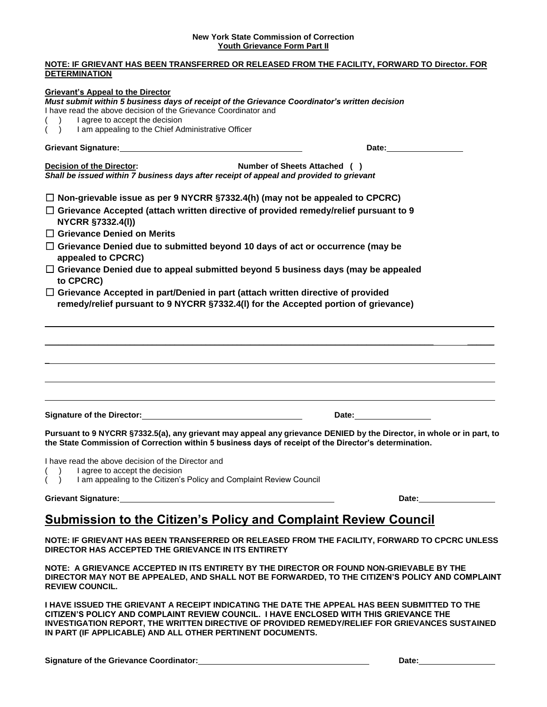## **New York State Commission of Correction Youth Grievance Form Part II**

| NOTE: IF GRIEVANT HAS BEEN TRANSFERRED OR RELEASED FROM THE FACILITY, FORWARD TO Director. FOR<br><b>DETERMINATION</b>                                                                                                                                                                                                |                                                                                                                                                                                                                                |
|-----------------------------------------------------------------------------------------------------------------------------------------------------------------------------------------------------------------------------------------------------------------------------------------------------------------------|--------------------------------------------------------------------------------------------------------------------------------------------------------------------------------------------------------------------------------|
| <b>Grievant's Appeal to the Director</b><br>Must submit within 5 business days of receipt of the Grievance Coordinator's written decision<br>I have read the above decision of the Grievance Coordinator and<br>I agree to accept the decision<br>I am appealing to the Chief Administrative Officer<br>$\rightarrow$ |                                                                                                                                                                                                                                |
| Grievant Signature: Management of the Contract of the Contract of the Contract of the Contract of the Contract of the Contract of the Contract of the Contract of the Contract of the Contract of the Contract of the Contract                                                                                        |                                                                                                                                                                                                                                |
| Number of Sheets Attached ( )<br><b>Decision of the Director:</b><br>Shall be issued within 7 business days after receipt of appeal and provided to grievant                                                                                                                                                          |                                                                                                                                                                                                                                |
| $\Box$ Non-grievable issue as per 9 NYCRR §7332.4(h) (may not be appealed to CPCRC)                                                                                                                                                                                                                                   |                                                                                                                                                                                                                                |
| $\Box$ Grievance Accepted (attach written directive of provided remedy/relief pursuant to 9<br>NYCRR §7332.4(I))<br>$\Box$ Grievance Denied on Merits                                                                                                                                                                 |                                                                                                                                                                                                                                |
| $\Box$ Grievance Denied due to submitted beyond 10 days of act or occurrence (may be<br>appealed to CPCRC)                                                                                                                                                                                                            |                                                                                                                                                                                                                                |
| $\Box$ Grievance Denied due to appeal submitted beyond 5 business days (may be appealed<br>to CPCRC)                                                                                                                                                                                                                  |                                                                                                                                                                                                                                |
| $\Box$ Grievance Accepted in part/Denied in part (attach written directive of provided<br>remedy/relief pursuant to 9 NYCRR §7332.4(I) for the Accepted portion of grievance)                                                                                                                                         |                                                                                                                                                                                                                                |
|                                                                                                                                                                                                                                                                                                                       |                                                                                                                                                                                                                                |
| Signature of the Director: <u>contract and the set of the Director</u>                                                                                                                                                                                                                                                | Date: the contract of the contract of the contract of the contract of the contract of the contract of the contract of the contract of the contract of the contract of the contract of the contract of the contract of the cont |
| Pursuant to 9 NYCRR §7332.5(a), any grievant may appeal any grievance DENIED by the Director, in whole or in part, to<br>the State Commission of Correction within 5 business days of receipt of the Director's determination.                                                                                        |                                                                                                                                                                                                                                |
| I have read the above decision of the Director and<br>I agree to accept the decision<br>I am appealing to the Citizen's Policy and Complaint Review Council<br>(                                                                                                                                                      |                                                                                                                                                                                                                                |
| Grievant Signature:                                                                                                                                                                                                                                                                                                   |                                                                                                                                                                                                                                |
| <b>Submission to the Citizen's Policy and Complaint Review Council</b>                                                                                                                                                                                                                                                |                                                                                                                                                                                                                                |
| NOTE: IF GRIEVANT HAS BEEN TRANSFERRED OR RELEASED FROM THE FACILITY, FORWARD TO CPCRC UNLESS<br>DIRECTOR HAS ACCEPTED THE GRIEVANCE IN ITS ENTIRETY                                                                                                                                                                  |                                                                                                                                                                                                                                |
| NOTE: A GRIEVANCE ACCEPTED IN ITS ENTIRETY BY THE DIRECTOR OR FOUND NON-GRIEVABLE BY THE<br>DIRECTOR MAY NOT BE APPEALED, AND SHALL NOT BE FORWARDED, TO THE CITIZEN'S POLICY AND COMPLAINT<br><b>REVIEW COUNCIL.</b>                                                                                                 |                                                                                                                                                                                                                                |

**I HAVE ISSUED THE GRIEVANT A RECEIPT INDICATING THE DATE THE APPEAL HAS BEEN SUBMITTED TO THE CITIZEN'S POLICY AND COMPLAINT REVIEW COUNCIL. I HAVE ENCLOSED WITH THIS GRIEVANCE THE INVESTIGATION REPORT, THE WRITTEN DIRECTIVE OF PROVIDED REMEDY/RELIEF FOR GRIEVANCES SUSTAINED IN PART (IF APPLICABLE) AND ALL OTHER PERTINENT DOCUMENTS.**

**Signature of the Grievance Coordinator: Date: Date: Date: Date: Date: Date: Date: Date: Date: Date: Date: Date: Date: Date: Date: Date: Date: Date: Date: Date: Date: Date: Dat**